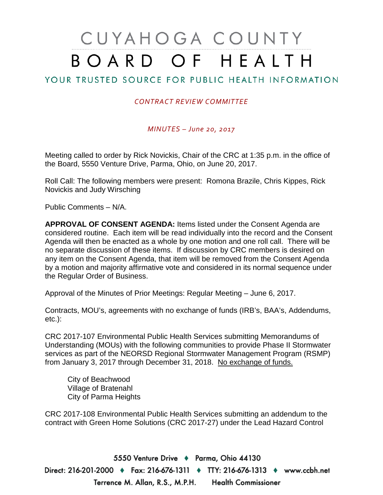# CUYAHOGA COUNTY BOARD OF HEALTH

# YOUR TRUSTED SOURCE FOR PUBLIC HEALTH INFORMATION

## *CONTRACT REVIEW COMMITTEE*

## *MINUTES – June 20, 2017*

Meeting called to order by Rick Novickis, Chair of the CRC at 1:35 p.m. in the office of the Board, 5550 Venture Drive, Parma, Ohio, on June 20, 2017.

Roll Call: The following members were present: Romona Brazile, Chris Kippes, Rick Novickis and Judy Wirsching

Public Comments – N/A.

**APPROVAL OF CONSENT AGENDA:** Items listed under the Consent Agenda are considered routine. Each item will be read individually into the record and the Consent Agenda will then be enacted as a whole by one motion and one roll call. There will be no separate discussion of these items. If discussion by CRC members is desired on any item on the Consent Agenda, that item will be removed from the Consent Agenda by a motion and majority affirmative vote and considered in its normal sequence under the Regular Order of Business.

Approval of the Minutes of Prior Meetings: Regular Meeting – June 6, 2017.

Contracts, MOU's, agreements with no exchange of funds (IRB's, BAA's, Addendums, etc.):

CRC 2017-107 Environmental Public Health Services submitting Memorandums of Understanding (MOUs) with the following communities to provide Phase II Stormwater services as part of the NEORSD Regional Stormwater Management Program (RSMP) from January 3, 2017 through December 31, 2018. No exchange of funds.

City of Beachwood Village of Bratenahl City of Parma Heights

CRC 2017-108 Environmental Public Health Services submitting an addendum to the contract with Green Home Solutions (CRC 2017-27) under the Lead Hazard Control

5550 Venture Drive + Parma, Ohio 44130 Direct: 216-201-2000 ♦ Fax: 216-676-1311 ♦ TTY: 216-676-1313 ♦ www.ccbh.net Terrence M. Allan, R.S., M.P.H. Health Commissioner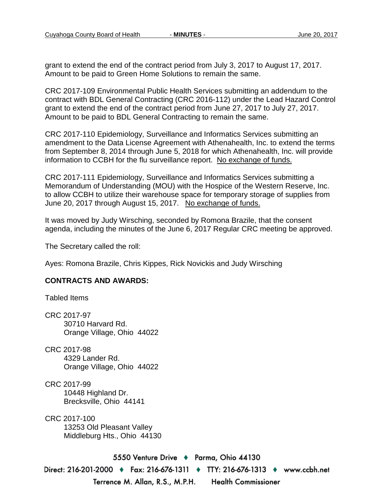grant to extend the end of the contract period from July 3, 2017 to August 17, 2017. Amount to be paid to Green Home Solutions to remain the same.

CRC 2017-109 Environmental Public Health Services submitting an addendum to the contract with BDL General Contracting (CRC 2016-112) under the Lead Hazard Control grant to extend the end of the contract period from June 27, 2017 to July 27, 2017. Amount to be paid to BDL General Contracting to remain the same.

CRC 2017-110 Epidemiology, Surveillance and Informatics Services submitting an amendment to the Data License Agreement with Athenahealth, Inc. to extend the terms from September 8, 2014 through June 5, 2018 for which Athenahealth, Inc. will provide information to CCBH for the flu surveillance report. No exchange of funds.

CRC 2017-111 Epidemiology, Surveillance and Informatics Services submitting a Memorandum of Understanding (MOU) with the Hospice of the Western Reserve, Inc. to allow CCBH to utilize their warehouse space for temporary storage of supplies from June 20, 2017 through August 15, 2017. No exchange of funds.

It was moved by Judy Wirsching, seconded by Romona Brazile, that the consent agenda, including the minutes of the June 6, 2017 Regular CRC meeting be approved.

The Secretary called the roll:

Ayes: Romona Brazile, Chris Kippes, Rick Novickis and Judy Wirsching

## **CONTRACTS AND AWARDS:**

Tabled Items

CRC 2017-97 30710 Harvard Rd. Orange Village, Ohio 44022

CRC 2017-98 4329 Lander Rd. Orange Village, Ohio 44022

CRC 2017-99 10448 Highland Dr. Brecksville, Ohio 44141

CRC 2017-100 13253 Old Pleasant Valley Middleburg Hts., Ohio 44130

5550 Venture Drive + Parma, Ohio 44130 Direct: 216-201-2000 ♦ Fax: 216-676-1311 ♦ TTY: 216-676-1313 ♦ www.ccbh.net Terrence M. Allan, R.S., M.P.H. **Health Commissioner**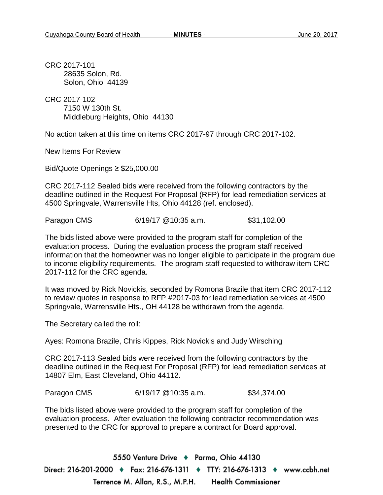CRC 2017-101 28635 Solon, Rd. Solon, Ohio 44139

CRC 2017-102 7150 W 130th St. Middleburg Heights, Ohio 44130

No action taken at this time on items CRC 2017-97 through CRC 2017-102.

New Items For Review

Bid/Quote Openings ≥ \$25,000.00

CRC 2017-112 Sealed bids were received from the following contractors by the deadline outlined in the Request For Proposal (RFP) for lead remediation services at 4500 Springvale, Warrensville Hts, Ohio 44128 (ref. enclosed).

Paragon CMS 6/19/17 @10:35 a.m. \$31,102.00

The bids listed above were provided to the program staff for completion of the evaluation process. During the evaluation process the program staff received information that the homeowner was no longer eligible to participate in the program due to income eligibility requirements. The program staff requested to withdraw item CRC 2017-112 for the CRC agenda.

It was moved by Rick Novickis, seconded by Romona Brazile that item CRC 2017-112 to review quotes in response to RFP #2017-03 for lead remediation services at 4500 Springvale, Warrensville Hts., OH 44128 be withdrawn from the agenda.

The Secretary called the roll:

Ayes: Romona Brazile, Chris Kippes, Rick Novickis and Judy Wirsching

CRC 2017-113 Sealed bids were received from the following contractors by the deadline outlined in the Request For Proposal (RFP) for lead remediation services at 14807 Elm, East Cleveland, Ohio 44112.

Paragon CMS 6/19/17 @10:35 a.m. \$34,374.00

The bids listed above were provided to the program staff for completion of the evaluation process. After evaluation the following contractor recommendation was presented to the CRC for approval to prepare a contract for Board approval.

5550 Venture Drive + Parma, Ohio 44130 Direct: 216-201-2000 ♦ Fax: 216-676-1311 ♦ TTY: 216-676-1313 ♦ www.ccbh.net Terrence M. Allan, R.S., M.P.H. Health Commissioner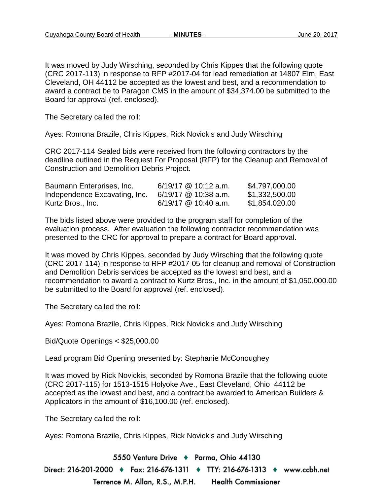It was moved by Judy Wirsching, seconded by Chris Kippes that the following quote (CRC 2017-113) in response to RFP #2017-04 for lead remediation at 14807 Elm, East Cleveland, OH 44112 be accepted as the lowest and best, and a recommendation to award a contract be to Paragon CMS in the amount of \$34,374.00 be submitted to the Board for approval (ref. enclosed).

The Secretary called the roll:

Ayes: Romona Brazile, Chris Kippes, Rick Novickis and Judy Wirsching

CRC 2017-114 Sealed bids were received from the following contractors by the deadline outlined in the Request For Proposal (RFP) for the Cleanup and Removal of Construction and Demolition Debris Project.

| Baumann Enterprises, Inc.     | $6/19/17$ @ 10:12 a.m. | \$4,797,000.00 |
|-------------------------------|------------------------|----------------|
| Independence Excavating, Inc. | $6/19/17$ @ 10:38 a.m. | \$1,332,500.00 |
| Kurtz Bros., Inc.             | 6/19/17 @ 10:40 a.m.   | \$1,854.020.00 |

The bids listed above were provided to the program staff for completion of the evaluation process. After evaluation the following contractor recommendation was presented to the CRC for approval to prepare a contract for Board approval.

It was moved by Chris Kippes, seconded by Judy Wirsching that the following quote (CRC 2017-114) in response to RFP #2017-05 for cleanup and removal of Construction and Demolition Debris services be accepted as the lowest and best, and a recommendation to award a contract to Kurtz Bros., Inc. in the amount of \$1,050,000.00 be submitted to the Board for approval (ref. enclosed).

The Secretary called the roll:

Ayes: Romona Brazile, Chris Kippes, Rick Novickis and Judy Wirsching

Bid/Quote Openings < \$25,000.00

Lead program Bid Opening presented by: Stephanie McConoughey

It was moved by Rick Novickis, seconded by Romona Brazile that the following quote (CRC 2017-115) for 1513-1515 Holyoke Ave., East Cleveland, Ohio 44112 be accepted as the lowest and best, and a contract be awarded to American Builders & Applicators in the amount of \$16,100.00 (ref. enclosed).

The Secretary called the roll:

Ayes: Romona Brazile, Chris Kippes, Rick Novickis and Judy Wirsching

5550 Venture Drive + Parma, Ohio 44130 Direct: 216-201-2000 ♦ Fax: 216-676-1311 ♦ TTY: 216-676-1313 ♦ www.ccbh.net Terrence M. Allan, R.S., M.P.H. **Health Commissioner**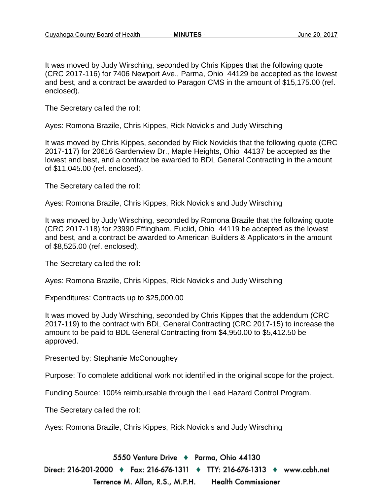It was moved by Judy Wirsching, seconded by Chris Kippes that the following quote (CRC 2017-116) for 7406 Newport Ave., Parma, Ohio 44129 be accepted as the lowest and best, and a contract be awarded to Paragon CMS in the amount of \$15,175.00 (ref. enclosed).

The Secretary called the roll:

Ayes: Romona Brazile, Chris Kippes, Rick Novickis and Judy Wirsching

It was moved by Chris Kippes, seconded by Rick Novickis that the following quote (CRC 2017-117) for 20616 Gardenview Dr., Maple Heights, Ohio 44137 be accepted as the lowest and best, and a contract be awarded to BDL General Contracting in the amount of \$11,045.00 (ref. enclosed).

The Secretary called the roll:

Ayes: Romona Brazile, Chris Kippes, Rick Novickis and Judy Wirsching

It was moved by Judy Wirsching, seconded by Romona Brazile that the following quote (CRC 2017-118) for 23990 Effingham, Euclid, Ohio 44119 be accepted as the lowest and best, and a contract be awarded to American Builders & Applicators in the amount of \$8,525.00 (ref. enclosed).

The Secretary called the roll:

Ayes: Romona Brazile, Chris Kippes, Rick Novickis and Judy Wirsching

Expenditures: Contracts up to \$25,000.00

It was moved by Judy Wirsching, seconded by Chris Kippes that the addendum (CRC 2017-119) to the contract with BDL General Contracting (CRC 2017-15) to increase the amount to be paid to BDL General Contracting from \$4,950.00 to \$5,412.50 be approved.

Presented by: Stephanie McConoughey

Purpose: To complete additional work not identified in the original scope for the project.

Funding Source: 100% reimbursable through the Lead Hazard Control Program.

The Secretary called the roll:

Ayes: Romona Brazile, Chris Kippes, Rick Novickis and Judy Wirsching

5550 Venture Drive + Parma, Ohio 44130

Direct: 216-201-2000 ♦ Fax: 216-676-1311 ♦ TTY: 216-676-1313 ♦ www.ccbh.net Terrence M. Allan, R.S., M.P.H. **Health Commissioner**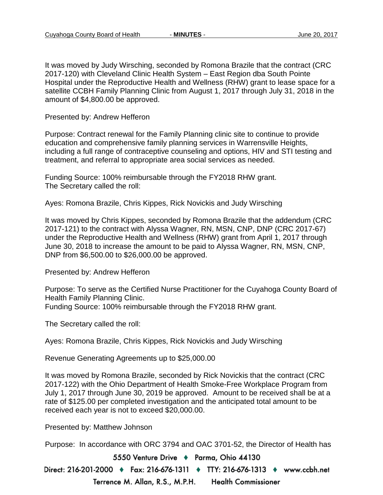It was moved by Judy Wirsching, seconded by Romona Brazile that the contract (CRC 2017-120) with Cleveland Clinic Health System – East Region dba South Pointe Hospital under the Reproductive Health and Wellness (RHW) grant to lease space for a satellite CCBH Family Planning Clinic from August 1, 2017 through July 31, 2018 in the amount of \$4,800.00 be approved.

Presented by: Andrew Hefferon

Purpose: Contract renewal for the Family Planning clinic site to continue to provide education and comprehensive family planning services in Warrensville Heights, including a full range of contraceptive counseling and options, HIV and STI testing and treatment, and referral to appropriate area social services as needed.

Funding Source: 100% reimbursable through the FY2018 RHW grant. The Secretary called the roll:

Ayes: Romona Brazile, Chris Kippes, Rick Novickis and Judy Wirsching

It was moved by Chris Kippes, seconded by Romona Brazile that the addendum (CRC 2017-121) to the contract with Alyssa Wagner, RN, MSN, CNP, DNP (CRC 2017-67) under the Reproductive Health and Wellness (RHW) grant from April 1, 2017 through June 30, 2018 to increase the amount to be paid to Alyssa Wagner, RN, MSN, CNP, DNP from \$6,500.00 to \$26,000.00 be approved.

Presented by: Andrew Hefferon

Purpose: To serve as the Certified Nurse Practitioner for the Cuyahoga County Board of Health Family Planning Clinic.

Funding Source: 100% reimbursable through the FY2018 RHW grant.

The Secretary called the roll:

Ayes: Romona Brazile, Chris Kippes, Rick Novickis and Judy Wirsching

Revenue Generating Agreements up to \$25,000.00

It was moved by Romona Brazile, seconded by Rick Novickis that the contract (CRC 2017-122) with the Ohio Department of Health Smoke-Free Workplace Program from July 1, 2017 through June 30, 2019 be approved. Amount to be received shall be at a rate of \$125.00 per completed investigation and the anticipated total amount to be received each year is not to exceed \$20,000.00.

Presented by: Matthew Johnson

Purpose: In accordance with ORC 3794 and OAC 3701-52, the Director of Health has

5550 Venture Drive + Parma, Ohio 44130

Direct: 216-201-2000 ♦ Fax: 216-676-1311 ♦ TTY: 216-676-1313 ♦ www.ccbh.net Terrence M. Allan, R.S., M.P.H. **Health Commissioner**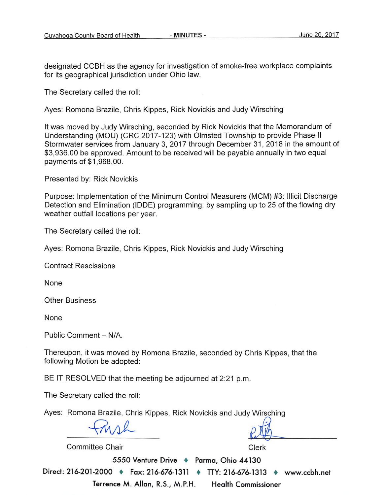designated CCBH as the agency for investigation of smoke-free workplace complaints for its geographical jurisdiction under Ohio law.

The Secretary called the roll:

Ayes: Romona Brazile, Chris Kippes, Rick Novickis and Judy Wirsching

It was moved by Judy Wirsching, seconded by Rick Novickis that the Memorandum of Understanding (MOU) (CRC 2017-123) with Olmsted Township to provide Phase II Stormwater services from January 3, 2017 through December 31, 2018 in the amount of \$3,936.00 be approved. Amount to be received will be payable annually in two equal payments of \$1,968.00.

Presented by: Rick Novickis

Purpose: Implementation of the Minimum Control Measurers (MCM) #3: Illicit Discharge Detection and Elimination (IDDE) programming: by sampling up to 25 of the flowing dry weather outfall locations per year.

The Secretary called the roll:

Ayes: Romona Brazile, Chris Kippes, Rick Novickis and Judy Wirsching

**Contract Rescissions** 

None

**Other Business** 

None

Public Comment - N/A.

Thereupon, it was moved by Romona Brazile, seconded by Chris Kippes, that the following Motion be adopted:

BE IT RESOLVED that the meeting be adjourned at 2:21 p.m.

The Secretary called the roll:

Ayes: Romona Brazile, Chris Kippes, Rick Novickis and Judy Wirsching

Committee Chair

Clerk

5550 Venture Drive + Parma, Ohio 44130 Direct: 216-201-2000 • Fax: 216-676-1311 • TTY: 216-676-1313 • www.ccbh.net Terrence M. Allan, R.S., M.P.H. **Health Commissioner**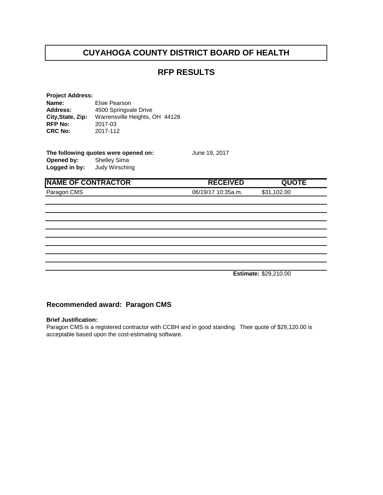## **RFP RESULTS**

| <b>Project Address:</b> |                                |
|-------------------------|--------------------------------|
| Name:                   | Elsie Pearson                  |
| <b>Address:</b>         | 4500 Springvale Drive          |
| City, State, Zip:       | Warrensville Heights, OH 44128 |
| <b>RFP No:</b>          | 2017-03                        |
| <b>CRC No:</b>          | 2017-112                       |
|                         |                                |

| The following quotes were opened on: |                |  |
|--------------------------------------|----------------|--|
| Opened by:                           | Shelley Sima   |  |
| Logged in by:                        | Judy Wirsching |  |

**NAME OF CONTRACTOR RECEIVED QUOTE** Paragon CMS 06/19/17 10:35a.m. \$31,102.00

**June 19, 2017** 

**Estimate:** \$29,210.00

#### **Recommended award: Paragon CMS**

#### **Brief Justification:**

Paragon CMS is a registered contractor with CCBH and in good standing. Their quote of \$29,120.00 is acceptable based upon the cost-estimating software.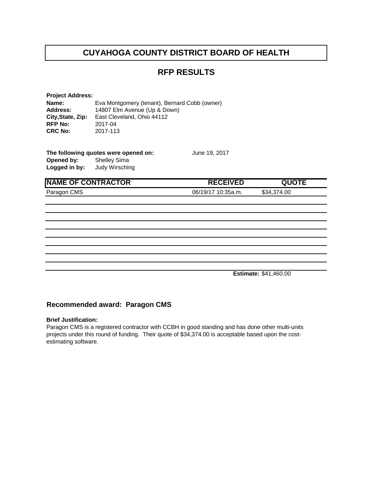## **RFP RESULTS**

**Project Address: Name:** Eva Montgomery (tenant), Bernard Cobb (owner)<br>**Address:** 14807 Elm Avenue (Up & Down) **Address:** 14807 Elm Avenue (Up & Down) **City, State, Zip:** East Cleveland, Ohio 44112<br>RFP No: 2017-04 **RFP No:** 2017-04<br>**CRC No:** 2017-113 **CRC No:** 

| The following quotes were opened on: |                | June 19, 2017 |
|--------------------------------------|----------------|---------------|
| Opened by:                           | Shelley Sima   |               |
| Logged in by:                        | Judy Wirsching |               |

| <b>INAME OF CONTRACTOR</b> | <b>RECEIVED</b>    | <b>QUOTE</b> |  |
|----------------------------|--------------------|--------------|--|
| Paragon CMS                | 06/19/17 10:35a.m. | \$34,374.00  |  |
|                            |                    |              |  |
|                            |                    |              |  |

**Estimate:** \$41,460.00

#### **Recommended award: Paragon CMS**

#### **Brief Justification:**

Paragon CMS is a registered contractor with CCBH in good standing and has done other multi-units projects under this round of funding. Their quote of \$34,374.00 is acceptable based upon the costestimating software.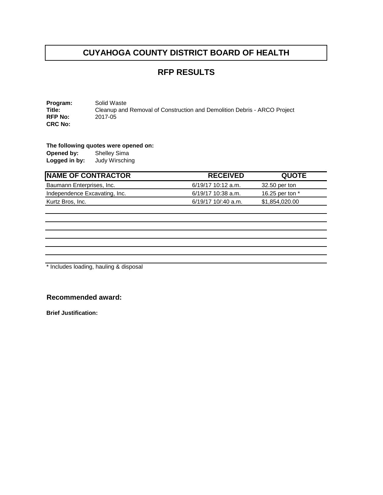## **RFP RESULTS**

**Program:** Solid Waste<br> **Title:** Cleanup and Cleanup and Removal of Construction and Demolition Debris - ARCO Project 2017-05 **RFP No: CRC No:** 

**The following quotes were opened on: Opened by:** 

**Logged in by:** Judy Wirsching

| <b>RECEIVED</b>       | <b>QUOTE</b>    |
|-----------------------|-----------------|
| $6/19/17$ 10:12 a.m.  | 32.50 per ton   |
| $6/19/17$ 10:38 a.m.  | 16.25 per ton * |
| $6/19/17$ 10/:40 a.m. | \$1,854,020.00  |
|                       |                 |

\* Includes loading, hauling & disposal

### **Recommended award:**

**Brief Justification:**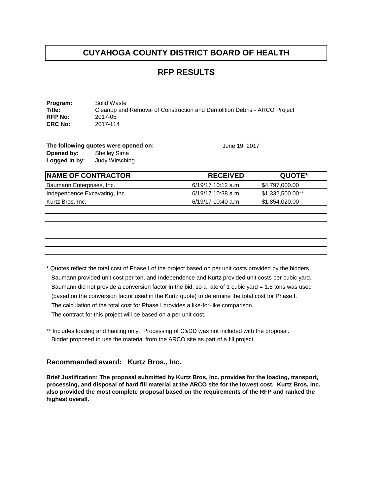## **RFP RESULTS**

**Program:** Solid Waste<br> **Title:** Cleanup and Cleanup and Removal of Construction and Demolition Debris - ARCO Project 2017-05 **RFP No:** 2017-05<br>**CRC No:** 2017-114 **CRC No:** 

**The following quotes were opened on:** June 19, 2017 **Opened by:** Shelley Sima **Logged in by:** Judy Wirsching

| <b>INAME OF CONTRACTOR</b>    | <b>RECEIVED</b>      | QUOTE*           |
|-------------------------------|----------------------|------------------|
| Baumann Enterprises, Inc.     | 6/19/17 10:12 a.m.   | \$4.797.000.00   |
| Independence Excavating, Inc. | 6/19/17 10:38 a.m.   | \$1.332.500.00** |
| Kurtz Bros, Inc.              | $6/19/17$ 10:40 a.m. | \$1,854,020.00   |

\* Quotes reflect the total cost of Phase I of the project based on per unit costs provided by the bidders. Baumann provided unit cost per ton, and Independence and Kurtz provided unit costs per cubic yard. Baumann did not provide a conversion factor in the bid, so a rate of 1 cubic yard = 1.8 tons was used (based on the conversion factor used in the Kurtz quote) to determine the total cost for Phase I. The calculation of the total cost for Phase I provides a like-for-like comparison. The contract for this project will be based on a per unit cost.

\*\* Includes loading and hauling only. Processing of C&DD was not included with the proposal. Bidder proposed to use the material from the ARCO site as part of a fill project.

#### **Recommended award: Kurtz Bros., Inc.**

**Brief Justification: The proposal submitted by Kurtz Bros, Inc. provides for the loading, transport, processing, and disposal of hard fill material at the ARCO site for the lowest cost. Kurtz Bros, Inc. also provided the most complete proposal based on the requirements of the RFP and ranked the highest overall.**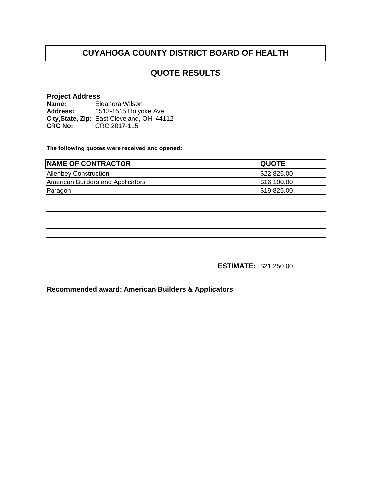## **QUOTE RESULTS**

### **Project Address**

**Name: Address: City,State, Zip: CRC No:** CRC 2017-115 Eleanora Wilson 1513-1515 Holyoke Ave. East Cleveland, OH 44112

**The following quotes were received and opened:**

| <b>INAME OF CONTRACTOR</b>        | <b>QUOTE</b> |
|-----------------------------------|--------------|
| <b>Allenbey Construction</b>      | \$22,825.00  |
| American Builders and Applicators | \$16,100.00  |
| Paragon                           | \$19,825.00  |

**ESTIMATE:** \$21,250.00

**Recommended award: American Builders & Applicators**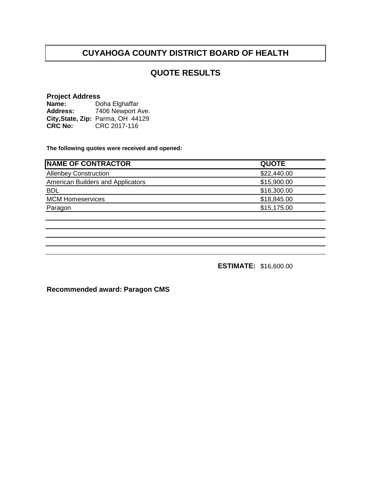## **QUOTE RESULTS**

#### **Project Address**

| Name:          | Doha Elghaffar                    |
|----------------|-----------------------------------|
| Address:       | 7406 Newport Ave.                 |
|                | City, State, Zip: Parma, OH 44129 |
| <b>CRC No:</b> | CRC 2017-116                      |

**The following quotes were received and opened:**

| <b>NAME OF CONTRACTOR</b>         | <b>QUOTE</b> |
|-----------------------------------|--------------|
| <b>Allenbey Construction</b>      | \$22,440.00  |
| American Builders and Applicators | \$15,900.00  |
| <b>BDL</b>                        | \$16,300.00  |
| <b>MCM Homeservices</b>           | \$18,845.00  |
| Paragon                           | \$15,175.00  |

**ESTIMATE:** \$16,600.00

**Recommended award: Paragon CMS**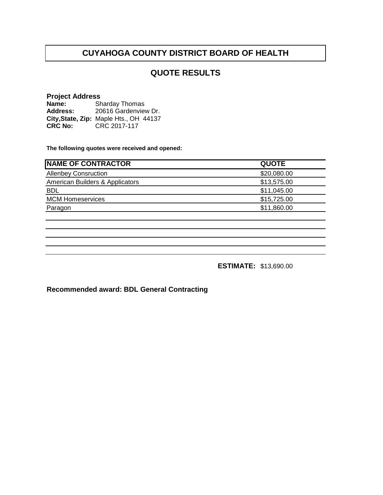# **QUOTE RESULTS**

## **Project Address**

**Name: Address: City,State, Zip: CRC No:** CRC 2017-117 Sharday Thomas 20616 Gardenview Dr. Maple Hts., OH 44137

**The following quotes were received and opened:**

| <b>NAME OF CONTRACTOR</b>       | <b>QUOTE</b> |
|---------------------------------|--------------|
| <b>Allenbey Consruction</b>     | \$20,080.00  |
| American Builders & Applicators | \$13,575.00  |
| <b>BDL</b>                      | \$11,045.00  |
| <b>MCM Homeservices</b>         | \$15,725.00  |
| Paragon                         | \$11,860.00  |
|                                 |              |

**ESTIMATE:** \$13,690.00

**Recommended award: BDL General Contracting**